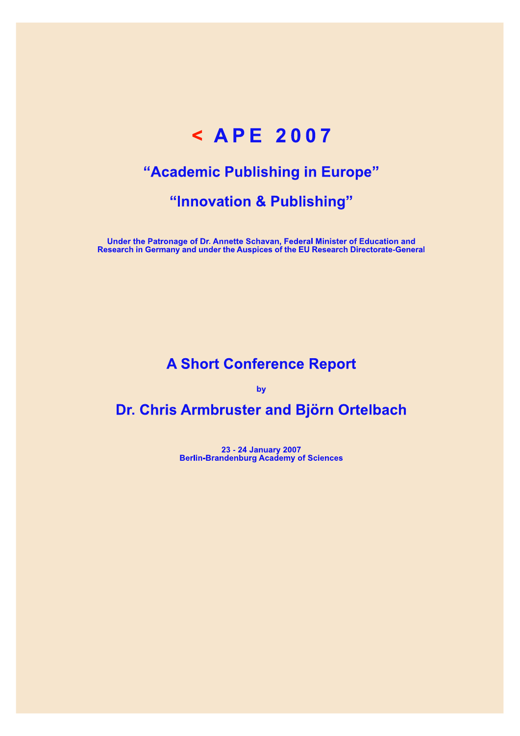# < APE 2007

# "Academic Publishing in Europe"

# "Innovation & Publishing"

Under the Patronage of Dr. Annette Schavan, Federal Minister of Education and<br>Research in Germany and under the Auspices of the EU Research Directorate-General

# **A Short Conference Report**

by

# Dr. Chris Armbruster and Björn Ortelbach

23 - 24 January 2007<br>Berlin-Brandenburg Academy of Sciences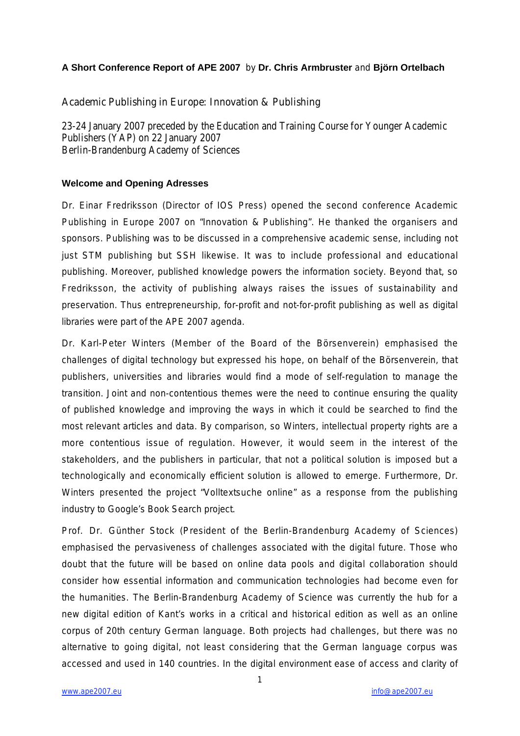## **A Short Conference Report of APE 2007** by **Dr. Chris Armbruster** and **Björn Ortelbach**

## Academic Publishing in Europe: Innovation & Publishing

23-24 January 2007 preceded by the Education and Training Course for Younger Academic Publishers (YAP) on 22 January 2007 Berlin-Brandenburg Academy of Sciences

### **Welcome and Opening Adresses**

Dr. Einar Fredriksson (Director of IOS Press) opened the second conference Academic Publishing in Europe 2007 on "Innovation & Publishing". He thanked the organisers and sponsors. Publishing was to be discussed in a comprehensive academic sense, including not just STM publishing but SSH likewise. It was to include professional and educational publishing. Moreover, published knowledge powers the information society. Beyond that, so Fredriksson, the activity of publishing always raises the issues of sustainability and preservation. Thus entrepreneurship, for-profit and not-for-profit publishing as well as digital libraries were part of the APE 2007 agenda.

Dr. Karl-Peter Winters (Member of the Board of the Börsenverein) emphasised the challenges of digital technology but expressed his hope, on behalf of the Börsenverein, that publishers, universities and libraries would find a mode of self-regulation to manage the transition. Joint and non-contentious themes were the need to continue ensuring the quality of published knowledge and improving the ways in which it could be searched to find the most relevant articles and data. By comparison, so Winters, intellectual property rights are a more contentious issue of regulation. However, it would seem in the interest of the stakeholders, and the publishers in particular, that not a political solution is imposed but a technologically and economically efficient solution is allowed to emerge. Furthermore, Dr. Winters presented the project "Volltextsuche online" as a response from the publishing industry to Google's Book Search project.

Prof. Dr. Günther Stock (President of the Berlin-Brandenburg Academy of Sciences) emphasised the pervasiveness of challenges associated with the digital future. Those who doubt that the future will be based on online data pools and digital collaboration should consider how essential information and communication technologies had become even for the humanities. The Berlin-Brandenburg Academy of Science was currently the hub for a new digital edition of Kant's works in a critical and historical edition as well as an online corpus of 20th century German language. Both projects had challenges, but there was no alternative to going digital, not least considering that the German language corpus was accessed and used in 140 countries. In the digital environment ease of access and clarity of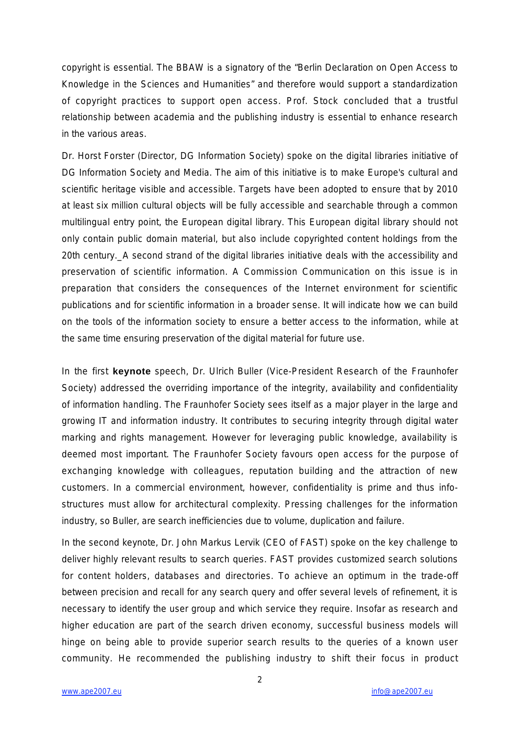copyright is essential. The BBAW is a signatory of the "Berlin Declaration on Open Access to Knowledge in the Sciences and Humanities" and therefore would support a standardization of copyright practices to support open access. Prof. Stock concluded that a trustful relationship between academia and the publishing industry is essential to enhance research in the various areas.

Dr. Horst Forster (Director, DG Information Society) spoke on the digital libraries initiative of DG Information Society and Media. The aim of this initiative is to make Europe's cultural and scientific heritage visible and accessible. Targets have been adopted to ensure that by 2010 at least six million cultural objects will be fully accessible and searchable through a common multilingual entry point, the European digital library. This European digital library should not only contain public domain material, but also include copyrighted content holdings from the 20th century.\_A second strand of the digital libraries initiative deals with the accessibility and preservation of scientific information. A Commission Communication on this issue is in preparation that considers the consequences of the Internet environment for scientific publications and for scientific information in a broader sense. It will indicate how we can build on the tools of the information society to ensure a better access to the information, while at the same time ensuring preservation of the digital material for future use.

In the first **keynote** speech, Dr. Ulrich Buller (Vice-President Research of the Fraunhofer Society) addressed the overriding importance of the integrity, availability and confidentiality of information handling. The Fraunhofer Society sees itself as a major player in the large and growing IT and information industry. It contributes to securing integrity through digital water marking and rights management. However for leveraging public knowledge, availability is deemed most important. The Fraunhofer Society favours open access for the purpose of exchanging knowledge with colleagues, reputation building and the attraction of new customers. In a commercial environment, however, confidentiality is prime and thus infostructures must allow for architectural complexity. Pressing challenges for the information industry, so Buller, are search inefficiencies due to volume, duplication and failure.

In the second keynote, Dr. John Markus Lervik (CEO of FAST) spoke on the key challenge to deliver highly relevant results to search queries. FAST provides customized search solutions for content holders, databases and directories. To achieve an optimum in the trade-off between precision and recall for any search query and offer several levels of refinement, it is necessary to identify the user group and which service they require. Insofar as research and higher education are part of the search driven economy, successful business models will hinge on being able to provide superior search results to the queries of a known user community. He recommended the publishing industry to shift their focus in product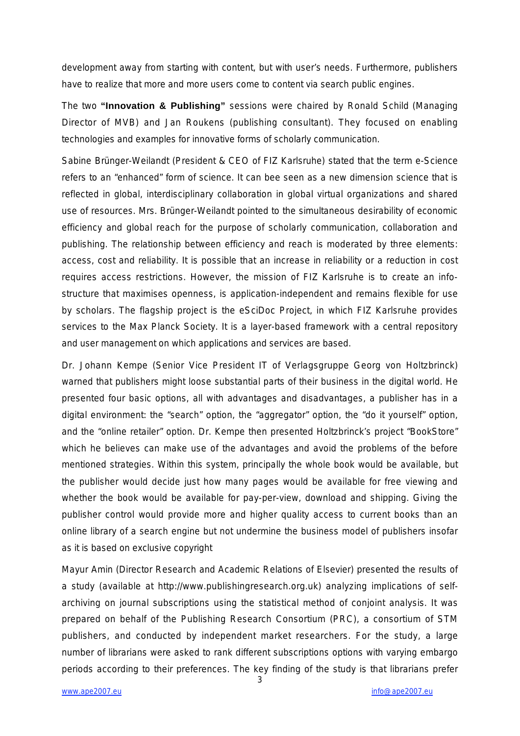development away from starting with content, but with user's needs. Furthermore, publishers have to realize that more and more users come to content via search public engines.

The two **"Innovation & Publishing"** sessions were chaired by Ronald Schild (Managing Director of MVB) and Jan Roukens (publishing consultant). They focused on enabling technologies and examples for innovative forms of scholarly communication.

Sabine Brünger-Weilandt (President & CEO of FIZ Karlsruhe) stated that the term e-Science refers to an "enhanced" form of science. It can bee seen as a new dimension science that is reflected in global, interdisciplinary collaboration in global virtual organizations and shared use of resources. Mrs. Brünger-Weilandt pointed to the simultaneous desirability of economic efficiency and global reach for the purpose of scholarly communication, collaboration and publishing. The relationship between efficiency and reach is moderated by three elements: access, cost and reliability. It is possible that an increase in reliability or a reduction in cost requires access restrictions. However, the mission of FIZ Karlsruhe is to create an infostructure that maximises openness, is application-independent and remains flexible for use by scholars. The flagship project is the eSciDoc Project, in which FIZ Karlsruhe provides services to the Max Planck Society. It is a layer-based framework with a central repository and user management on which applications and services are based.

Dr. Johann Kempe (Senior Vice President IT of Verlagsgruppe Georg von Holtzbrinck) warned that publishers might loose substantial parts of their business in the digital world. He presented four basic options, all with advantages and disadvantages, a publisher has in a digital environment: the "search" option, the "aggregator" option, the "do it yourself" option, and the "online retailer" option. Dr. Kempe then presented Holtzbrinck's project "BookStore" which he believes can make use of the advantages and avoid the problems of the before mentioned strategies. Within this system, principally the whole book would be available, but the publisher would decide just how many pages would be available for free viewing and whether the book would be available for pay-per-view, download and shipping. Giving the publisher control would provide more and higher quality access to current books than an online library of a search engine but not undermine the business model of publishers insofar as it is based on exclusive copyright

Mayur Amin (Director Research and Academic Relations of Elsevier) presented the results of a study (available at http://www.publishingresearch.org.uk) analyzing implications of selfarchiving on journal subscriptions using the statistical method of conjoint analysis. It was prepared on behalf of the Publishing Research Consortium (PRC), a consortium of STM publishers, and conducted by independent market researchers. For the study, a large number of librarians were asked to rank different subscriptions options with varying embargo periods according to their preferences. The key finding of the study is that librarians prefer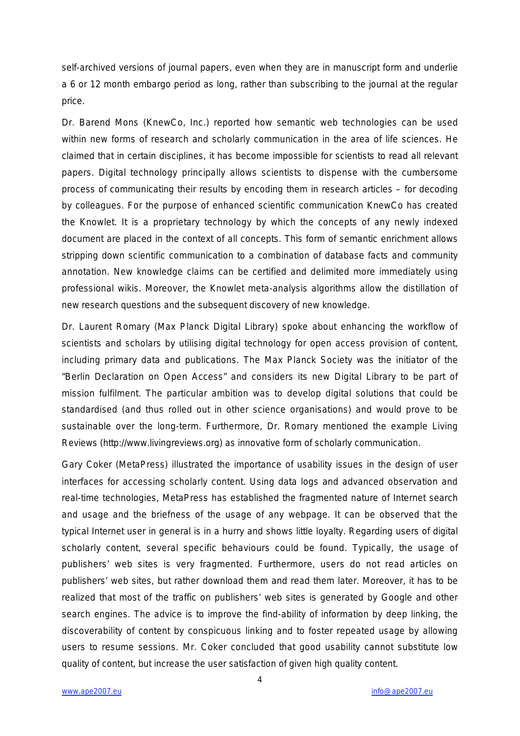self-archived versions of journal papers, even when they are in manuscript form and underlie a 6 or 12 month embargo period as long, rather than subscribing to the journal at the regular price.

Dr. Barend Mons (KnewCo, Inc.) reported how semantic web technologies can be used within new forms of research and scholarly communication in the area of life sciences. He claimed that in certain disciplines, it has become impossible for scientists to read all relevant papers. Digital technology principally allows scientists to dispense with the cumbersome process of communicating their results by encoding them in research articles – for decoding by colleagues. For the purpose of enhanced scientific communication KnewCo has created the Knowlet. It is a proprietary technology by which the concepts of any newly indexed document are placed in the context of all concepts. This form of semantic enrichment allows stripping down scientific communication to a combination of database facts and community annotation. New knowledge claims can be certified and delimited more immediately using professional wikis. Moreover, the Knowlet meta-analysis algorithms allow the distillation of new research questions and the subsequent discovery of new knowledge.

Dr. Laurent Romary (Max Planck Digital Library) spoke about enhancing the workflow of scientists and scholars by utilising digital technology for open access provision of content, including primary data and publications. The Max Planck Society was the initiator of the "Berlin Declaration on Open Access" and considers its new Digital Library to be part of mission fulfilment. The particular ambition was to develop digital solutions that could be standardised (and thus rolled out in other science organisations) and would prove to be sustainable over the long-term. Furthermore, Dr. Romary mentioned the example Living Reviews (http://www.livingreviews.org) as innovative form of scholarly communication.

Gary Coker (MetaPress) illustrated the importance of usability issues in the design of user interfaces for accessing scholarly content. Using data logs and advanced observation and real-time technologies, MetaPress has established the fragmented nature of Internet search and usage and the briefness of the usage of any webpage. It can be observed that the typical Internet user in general is in a hurry and shows little loyalty. Regarding users of digital scholarly content, several specific behaviours could be found. Typically, the usage of publishers' web sites is very fragmented. Furthermore, users do not read articles on publishers' web sites, but rather download them and read them later. Moreover, it has to be realized that most of the traffic on publishers' web sites is generated by Google and other search engines. The advice is to improve the find-ability of information by deep linking, the discoverability of content by conspicuous linking and to foster repeated usage by allowing users to resume sessions. Mr. Coker concluded that good usability cannot substitute low quality of content, but increase the user satisfaction of given high quality content.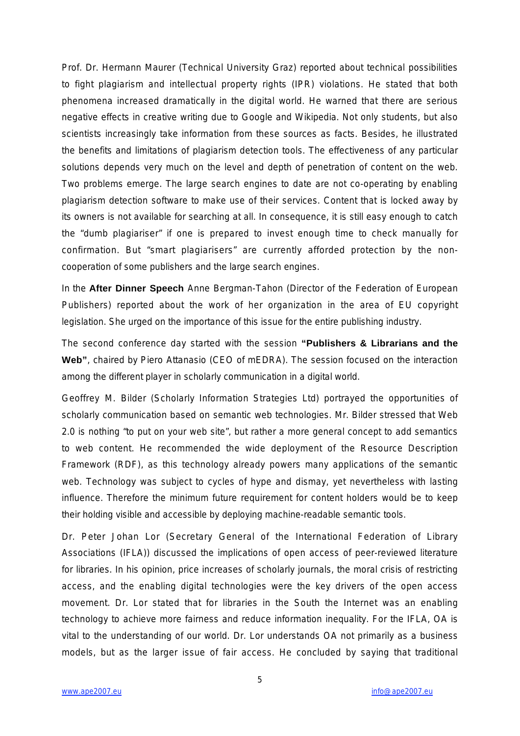Prof. Dr. Hermann Maurer (Technical University Graz) reported about technical possibilities to fight plagiarism and intellectual property rights (IPR) violations. He stated that both phenomena increased dramatically in the digital world. He warned that there are serious negative effects in creative writing due to Google and Wikipedia. Not only students, but also scientists increasingly take information from these sources as facts. Besides, he illustrated the benefits and limitations of plagiarism detection tools. The effectiveness of any particular solutions depends very much on the level and depth of penetration of content on the web. Two problems emerge. The large search engines to date are not co-operating by enabling plagiarism detection software to make use of their services. Content that is locked away by its owners is not available for searching at all. In consequence, it is still easy enough to catch the "dumb plagiariser" if one is prepared to invest enough time to check manually for confirmation. But "smart plagiarisers" are currently afforded protection by the noncooperation of some publishers and the large search engines.

In the **After Dinner Speech** Anne Bergman-Tahon (Director of the Federation of European Publishers) reported about the work of her organization in the area of EU copyright legislation. She urged on the importance of this issue for the entire publishing industry.

The second conference day started with the session **"Publishers & Librarians and the Web"**, chaired by Piero Attanasio (CEO of mEDRA). The session focused on the interaction among the different player in scholarly communication in a digital world.

Geoffrey M. Bilder (Scholarly Information Strategies Ltd) portrayed the opportunities of scholarly communication based on semantic web technologies. Mr. Bilder stressed that Web 2.0 is nothing "to put on your web site", but rather a more general concept to add semantics to web content. He recommended the wide deployment of the Resource Description Framework (RDF), as this technology already powers many applications of the semantic web. Technology was subject to cycles of hype and dismay, yet nevertheless with lasting influence. Therefore the minimum future requirement for content holders would be to keep their holding visible and accessible by deploying machine-readable semantic tools.

Dr. Peter Johan Lor (Secretary General of the International Federation of Library Associations (IFLA)) discussed the implications of open access of peer-reviewed literature for libraries. In his opinion, price increases of scholarly journals, the moral crisis of restricting access, and the enabling digital technologies were the key drivers of the open access movement. Dr. Lor stated that for libraries in the South the Internet was an enabling technology to achieve more fairness and reduce information inequality. For the IFLA, OA is vital to the understanding of our world. Dr. Lor understands OA not primarily as a business models, but as the larger issue of fair access. He concluded by saying that traditional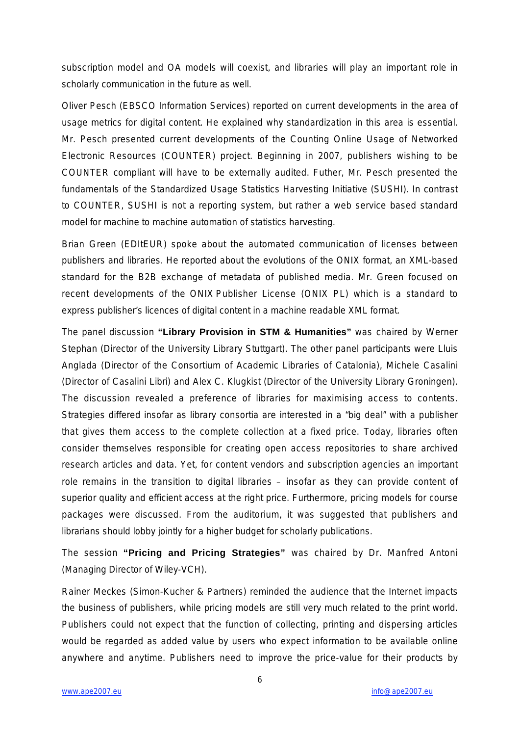subscription model and OA models will coexist, and libraries will play an important role in scholarly communication in the future as well.

Oliver Pesch (EBSCO Information Services) reported on current developments in the area of usage metrics for digital content. He explained why standardization in this area is essential. Mr. Pesch presented current developments of the Counting Online Usage of Networked Electronic Resources (COUNTER) project. Beginning in 2007, publishers wishing to be COUNTER compliant will have to be externally audited. Futher, Mr. Pesch presented the fundamentals of the Standardized Usage Statistics Harvesting Initiative (SUSHI). In contrast to COUNTER, SUSHI is not a reporting system, but rather a web service based standard model for machine to machine automation of statistics harvesting.

Brian Green (EDItEUR) spoke about the automated communication of licenses between publishers and libraries. He reported about the evolutions of the ONIX format, an XML-based standard for the B2B exchange of metadata of published media. Mr. Green focused on recent developments of the ONIX Publisher License (ONIX PL) which is a standard to express publisher's licences of digital content in a machine readable XML format.

The panel discussion **"Library Provision in STM & Humanities"** was chaired by Werner Stephan (Director of the University Library Stuttgart). The other panel participants were Lluis Anglada (Director of the Consortium of Academic Libraries of Catalonia), Michele Casalini (Director of Casalini Libri) and Alex C. Klugkist (Director of the University Library Groningen). The discussion revealed a preference of libraries for maximising access to contents. Strategies differed insofar as library consortia are interested in a "big deal" with a publisher that gives them access to the complete collection at a fixed price. Today, libraries often consider themselves responsible for creating open access repositories to share archived research articles and data. Yet, for content vendors and subscription agencies an important role remains in the transition to digital libraries – insofar as they can provide content of superior quality and efficient access at the right price. Furthermore, pricing models for course packages were discussed. From the auditorium, it was suggested that publishers and librarians should lobby jointly for a higher budget for scholarly publications.

The session **"Pricing and Pricing Strategies"** was chaired by Dr. Manfred Antoni (Managing Director of Wiley-VCH).

Rainer Meckes (Simon-Kucher & Partners) reminded the audience that the Internet impacts the business of publishers, while pricing models are still very much related to the print world. Publishers could not expect that the function of collecting, printing and dispersing articles would be regarded as added value by users who expect information to be available online anywhere and anytime. Publishers need to improve the price-value for their products by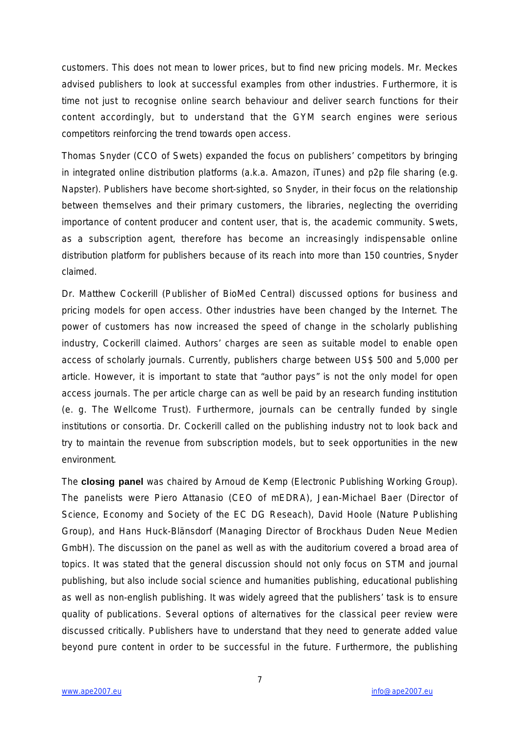customers. This does not mean to lower prices, but to find new pricing models. Mr. Meckes advised publishers to look at successful examples from other industries. Furthermore, it is time not just to recognise online search behaviour and deliver search functions for their content accordingly, but to understand that the GYM search engines were serious competitors reinforcing the trend towards open access.

Thomas Snyder (CCO of Swets) expanded the focus on publishers' competitors by bringing in integrated online distribution platforms (a.k.a. Amazon, iTunes) and p2p file sharing (e.g. Napster). Publishers have become short-sighted, so Snyder, in their focus on the relationship between themselves and their primary customers, the libraries, neglecting the overriding importance of content producer and content user, that is, the academic community. Swets, as a subscription agent, therefore has become an increasingly indispensable online distribution platform for publishers because of its reach into more than 150 countries, Snyder claimed.

Dr. Matthew Cockerill (Publisher of BioMed Central) discussed options for business and pricing models for open access. Other industries have been changed by the Internet. The power of customers has now increased the speed of change in the scholarly publishing industry, Cockerill claimed. Authors' charges are seen as suitable model to enable open access of scholarly journals. Currently, publishers charge between US\$ 500 and 5,000 per article. However, it is important to state that "author pays" is not the only model for open access journals. The per article charge can as well be paid by an research funding institution (e. g. The Wellcome Trust). Furthermore, journals can be centrally funded by single institutions or consortia. Dr. Cockerill called on the publishing industry not to look back and try to maintain the revenue from subscription models, but to seek opportunities in the new environment.

The **closing panel** was chaired by Arnoud de Kemp (Electronic Publishing Working Group). The panelists were Piero Attanasio (CEO of mEDRA), Jean-Michael Baer (Director of Science, Economy and Society of the EC DG Reseach), David Hoole (Nature Publishing Group), and Hans Huck-Blänsdorf (Managing Director of Brockhaus Duden Neue Medien GmbH). The discussion on the panel as well as with the auditorium covered a broad area of topics. It was stated that the general discussion should not only focus on STM and journal publishing, but also include social science and humanities publishing, educational publishing as well as non-english publishing. It was widely agreed that the publishers' task is to ensure quality of publications. Several options of alternatives for the classical peer review were discussed critically. Publishers have to understand that they need to generate added value beyond pure content in order to be successful in the future. Furthermore, the publishing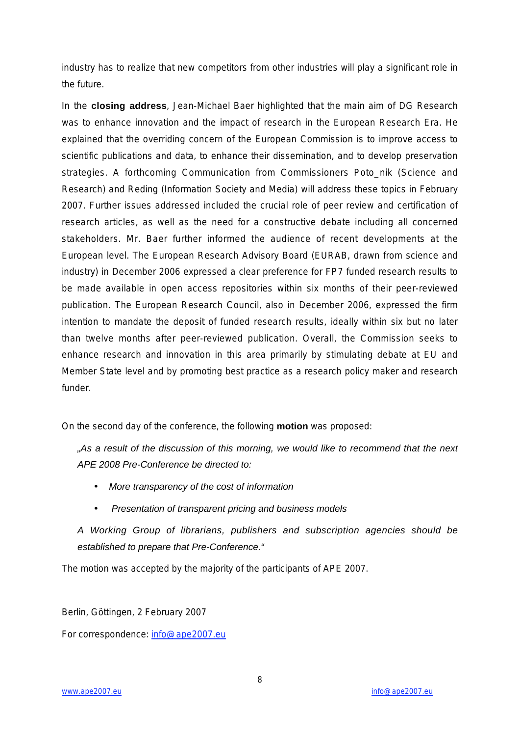industry has to realize that new competitors from other industries will play a significant role in the future.

In the **closing address**, Jean-Michael Baer highlighted that the main aim of DG Research was to enhance innovation and the impact of research in the European Research Era. He explained that the overriding concern of the European Commission is to improve access to scientific publications and data, to enhance their dissemination, and to develop preservation strategies. A forthcoming Communication from Commissioners Poto\_nik (Science and Research) and Reding (Information Society and Media) will address these topics in February 2007. Further issues addressed included the crucial role of peer review and certification of research articles, as well as the need for a constructive debate including all concerned stakeholders. Mr. Baer further informed the audience of recent developments at the European level. The European Research Advisory Board (EURAB, drawn from science and industry) in December 2006 expressed a clear preference for FP7 funded research results to be made available in open access repositories within six months of their peer-reviewed publication. The European Research Council, also in December 2006, expressed the firm intention to mandate the deposit of funded research results, ideally within six but no later than twelve months after peer-reviewed publication. Overall, the Commission seeks to enhance research and innovation in this area primarily by stimulating debate at EU and Member State level and by promoting best practice as a research policy maker and research funder.

On the second day of the conference, the following **motion** was proposed:

*"As a result of the discussion of this morning, we would like to recommend that the next APE 2008 Pre-Conference be directed to:*

- *More transparency of the cost of information*
- • *Presentation of transparent pricing and business models*

*A Working Group of librarians, publishers and subscription agencies should be established to prepare that Pre-Conference."*

The motion was accepted by the majority of the participants of APE 2007.

Berlin, Göttingen, 2 February 2007

For correspondence: info@ape2007.eu

8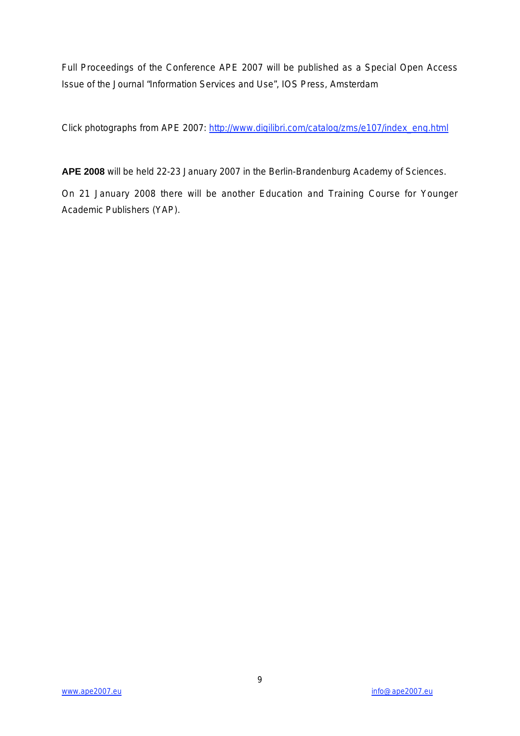Full Proceedings of the Conference APE 2007 will be published as a Special Open Access Issue of the Journal "Information Services and Use", IOS Press, Amsterdam

Click photographs from APE 2007: http://www.digilibri.com/catalog/zms/e107/index\_eng.html

**APE 2008** will be held 22-23 January 2007 in the Berlin-Brandenburg Academy of Sciences.

On 21 January 2008 there will be another Education and Training Course for Younger Academic Publishers (YAP).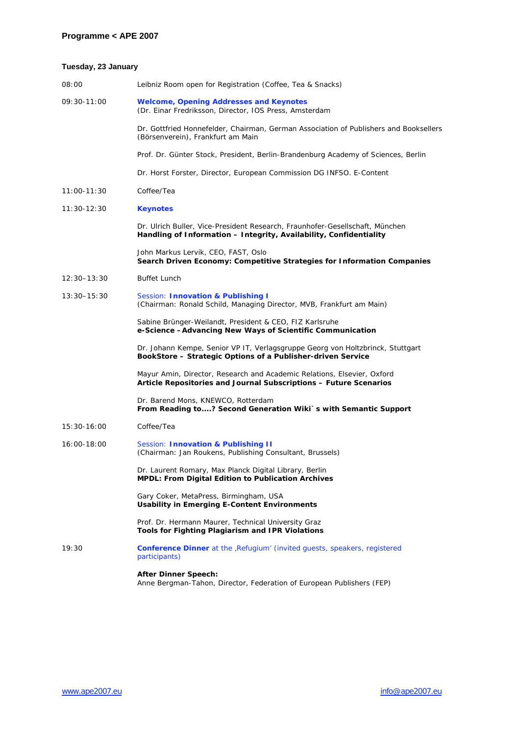### **Tuesday, 23 January**

| 08:00           | Leibniz Room open for Registration (Coffee, Tea & Snacks)                                                                                          |
|-----------------|----------------------------------------------------------------------------------------------------------------------------------------------------|
| 09:30-11:00     | <b>Welcome, Opening Addresses and Keynotes</b><br>(Dr. Einar Fredriksson, Director, IOS Press, Amsterdam                                           |
|                 | Dr. Gottfried Honnefelder, Chairman, German Association of Publishers and Booksellers<br>(Börsenverein), Frankfurt am Main                         |
|                 | Prof. Dr. Günter Stock, President, Berlin-Brandenburg Academy of Sciences, Berlin                                                                  |
|                 | Dr. Horst Forster, Director, European Commission DG INFSO. E-Content                                                                               |
| $11:00 - 11:30$ | Coffee/Tea                                                                                                                                         |
| 11:30-12:30     | <b>Keynotes</b>                                                                                                                                    |
|                 | Dr. Ulrich Buller, Vice-President Research, Fraunhofer-Gesellschaft, München<br>Handling of Information - Integrity, Availability, Confidentiality |
|                 | John Markus Lervik, CEO, FAST, Oslo<br>Search Driven Economy: Competitive Strategies for Information Companies                                     |
| $12:30 - 13:30$ | <b>Buffet Lunch</b>                                                                                                                                |
| $13:30 - 15:30$ | Session: Innovation & Publishing I<br>(Chairman: Ronald Schild, Managing Director, MVB, Frankfurt am Main)                                         |
|                 | Sabine Brünger-Weilandt, President & CEO, FIZ Karlsruhe<br>e-Science - Advancing New Ways of Scientific Communication                              |
|                 | Dr. Johann Kempe, Senior VP IT, Verlagsgruppe Georg von Holtzbrinck, Stuttgart<br>BookStore - Strategic Options of a Publisher-driven Service      |
|                 | Mayur Amin, Director, Research and Academic Relations, Elsevier, Oxford<br>Article Repositories and Journal Subscriptions - Future Scenarios       |
|                 | Dr. Barend Mons, KNEWCO, Rotterdam<br>From Reading to? Second Generation Wiki`s with Semantic Support                                              |
| 15:30-16:00     | Coffee/Tea                                                                                                                                         |
| 16:00-18:00     | Session: Innovation & Publishing II<br>(Chairman: Jan Roukens, Publishing Consultant, Brussels)                                                    |
|                 | Dr. Laurent Romary, Max Planck Digital Library, Berlin<br><b>MPDL: From Digital Edition to Publication Archives</b>                                |
|                 | Gary Coker, MetaPress, Birmingham, USA<br><b>Usability in Emerging E-Content Environments</b>                                                      |
|                 | Prof. Dr. Hermann Maurer, Technical University Graz<br>Tools for Fighting Plagiarism and IPR Violations                                            |
| 19:30           | <b>Conference Dinner</b> at the , Refugium' (invited quests, speakers, registered<br>participants)                                                 |
|                 | <b>After Dinner Speech:</b><br>Anne Bergman-Tahon, Director, Federation of European Publishers (FEP)                                               |
|                 |                                                                                                                                                    |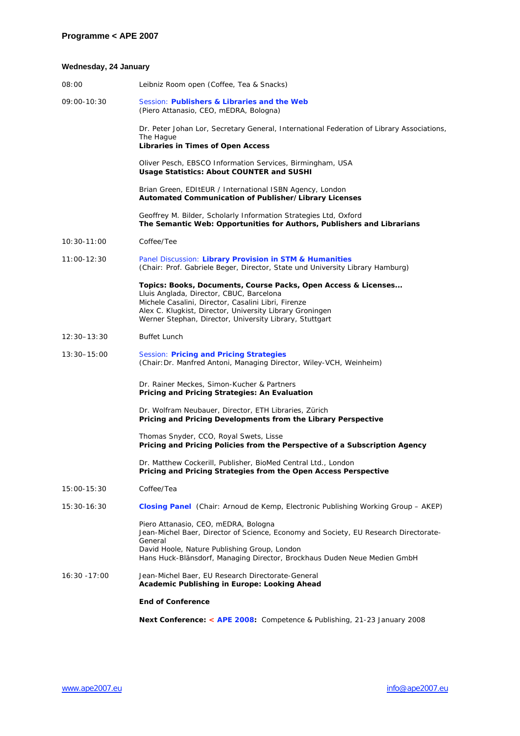### **Wednesday, 24 January**

|                 | Next Conference: < APE 2008: Competence & Publishing, 21-23 January 2008                                                                                                                                                                                                                 |
|-----------------|------------------------------------------------------------------------------------------------------------------------------------------------------------------------------------------------------------------------------------------------------------------------------------------|
|                 | <b>End of Conference</b>                                                                                                                                                                                                                                                                 |
| $16:30 - 17:00$ | Jean-Michel Baer, EU Research Directorate-General<br>Academic Publishing in Europe: Looking Ahead                                                                                                                                                                                        |
|                 | Piero Attanasio, CEO, mEDRA, Bologna<br>Jean-Michel Baer, Director of Science, Economy and Society, EU Research Directorate-<br>General<br>David Hoole, Nature Publishing Group, London<br>Hans Huck-Blänsdorf, Managing Director, Brockhaus Duden Neue Medien GmbH                      |
| 15:30-16:30     | Closing Panel (Chair: Arnoud de Kemp, Electronic Publishing Working Group - AKEP)                                                                                                                                                                                                        |
| 15:00-15:30     | Coffee/Tea                                                                                                                                                                                                                                                                               |
|                 | Dr. Matthew Cockerill, Publisher, BioMed Central Ltd., London<br>Pricing and Pricing Strategies from the Open Access Perspective                                                                                                                                                         |
|                 | Thomas Snyder, CCO, Royal Swets, Lisse<br>Pricing and Pricing Policies from the Perspective of a Subscription Agency                                                                                                                                                                     |
|                 | Dr. Wolfram Neubauer, Director, ETH Libraries, Zürich<br>Pricing and Pricing Developments from the Library Perspective                                                                                                                                                                   |
|                 | Dr. Rainer Meckes, Simon-Kucher & Partners<br>Pricing and Pricing Strategies: An Evaluation                                                                                                                                                                                              |
| 13:30-15:00     | Session: Pricing and Pricing Strategies<br>(Chair: Dr. Manfred Antoni, Managing Director, Wiley-VCH, Weinheim)                                                                                                                                                                           |
| 12:30–13:30     | <b>Buffet Lunch</b>                                                                                                                                                                                                                                                                      |
|                 | Topics: Books, Documents, Course Packs, Open Access & Licenses<br>Lluis Anglada, Director, CBUC, Barcelona<br>Michele Casalini, Director, Casalini Libri, Firenze<br>Alex C. Klugkist, Director, University Library Groningen<br>Werner Stephan, Director, University Library, Stuttgart |
| $11:00 - 12:30$ | Panel Discussion: Library Provision in STM & Humanities<br>(Chair: Prof. Gabriele Beger, Director, State und University Library Hamburg)                                                                                                                                                 |
| $10:30 - 11:00$ | Coffee/Tee                                                                                                                                                                                                                                                                               |
|                 | Geoffrey M. Bilder, Scholarly Information Strategies Ltd, Oxford<br>The Semantic Web: Opportunities for Authors, Publishers and Librarians                                                                                                                                               |
|                 | Brian Green, EDItEUR / International ISBN Agency, London<br>Automated Communication of Publisher/Library Licenses                                                                                                                                                                        |
|                 | Oliver Pesch, EBSCO Information Services, Birmingham, USA<br>Usage Statistics: About COUNTER and SUSHI                                                                                                                                                                                   |
|                 | Dr. Peter Johan Lor, Secretary General, International Federation of Library Associations,<br>The Hague<br><b>Libraries in Times of Open Access</b>                                                                                                                                       |
| 09:00-10:30     | Session: Publishers & Libraries and the Web<br>(Piero Attanasio, CEO, mEDRA, Bologna)                                                                                                                                                                                                    |
| 08:00           | Leibniz Room open (Coffee, Tea & Snacks)                                                                                                                                                                                                                                                 |